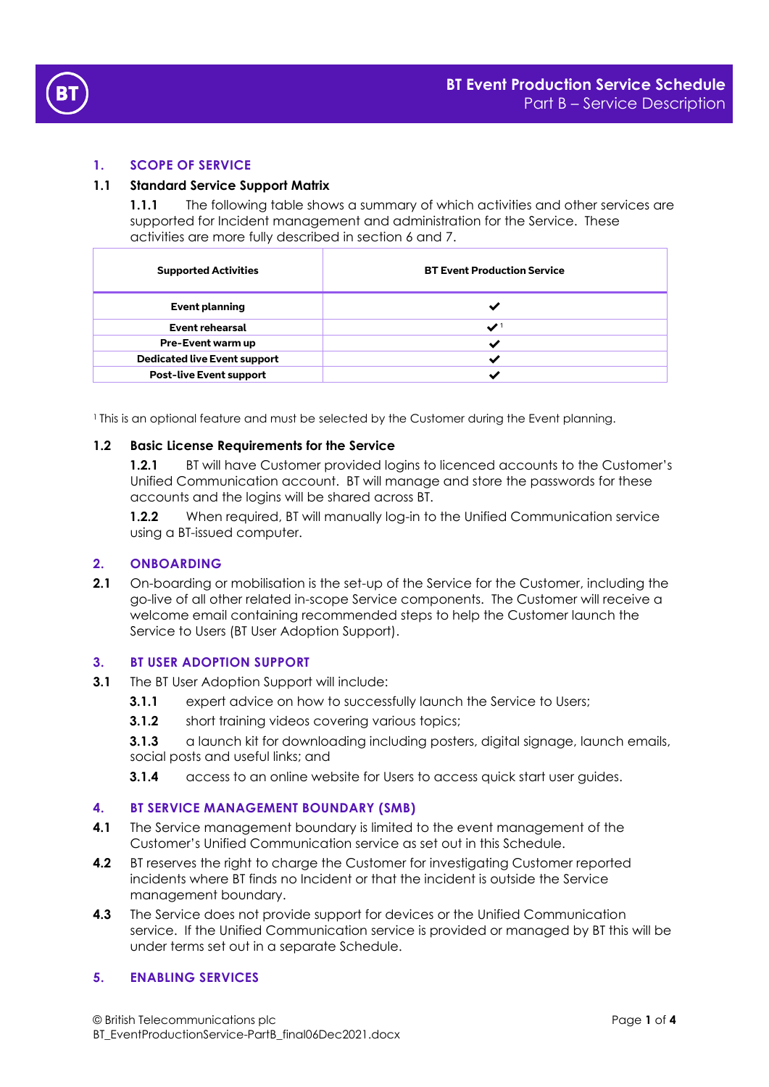

# **1. SCOPE OF SERVICE**

# **1.1 Standard Service Support Matrix**

**1.1.1** The following table shows a summary of which activities and other services are supported for Incident management and administration for the Service. These activities are more fully described in section 6 and 7.

| <b>Supported Activities</b>         | <b>BT Event Production Service</b> |
|-------------------------------------|------------------------------------|
| <b>Event planning</b>               |                                    |
| <b>Event rehearsal</b>              | $\boldsymbol{\checkmark}$          |
| Pre-Event warm up                   |                                    |
| <b>Dedicated live Event support</b> |                                    |
| <b>Post-live Event support</b>      |                                    |

<sup>1</sup>This is an optional feature and must be selected by the Customer during the Event planning.

### **1.2 Basic License Requirements for the Service**

**1.2.1** BT will have Customer provided logins to licenced accounts to the Customer's Unified Communication account. BT will manage and store the passwords for these accounts and the logins will be shared across BT.

**1.2.2** When required, BT will manually log-in to the Unified Communication service using a BT-issued computer.

### **2. ONBOARDING**

**2.1** On-boarding or mobilisation is the set-up of the Service for the Customer, including the go-live of all other related in-scope Service components. The Customer will receive a welcome email containing recommended steps to help the Customer launch the Service to Users (BT User Adoption Support).

### **3. BT USER ADOPTION SUPPORT**

- **3.1** The BT User Adoption Support will include:
	- **3.1.1** expert advice on how to successfully launch the Service to Users;
	- **3.1.2** short training videos covering various topics;

**3.1.3** a launch kit for downloading including posters, digital signage, launch emails, social posts and useful links; and

**3.1.4** access to an online website for Users to access quick start user guides.

### **4. BT SERVICE MANAGEMENT BOUNDARY (SMB)**

- **4.1** The Service management boundary is limited to the event management of the Customer's Unified Communication service as set out in this Schedule.
- **4.2** BT reserves the right to charge the Customer for investigating Customer reported incidents where BT finds no Incident or that the incident is outside the Service management boundary.
- **4.3** The Service does not provide support for devices or the Unified Communication service. If the Unified Communication service is provided or managed by BT this will be under terms set out in a separate Schedule.

### **5. ENABLING SERVICES**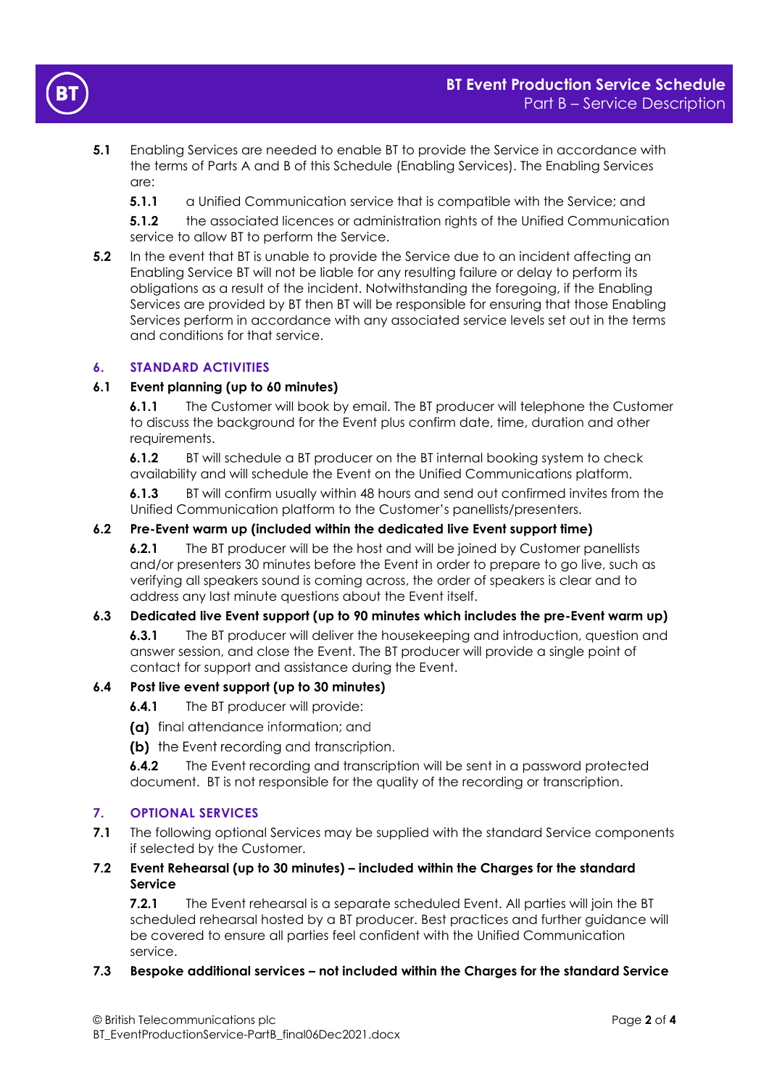



- **5.1** Enabling Services are needed to enable BT to provide the Service in accordance with the terms of Parts A and B of this Schedule (Enabling Services). The Enabling Services are:
	- **5.1.1** a Unified Communication service that is compatible with the Service; and
	- **5.1.2** the associated licences or administration rights of the Unified Communication service to allow BT to perform the Service.
- **5.2** In the event that BT is unable to provide the Service due to an incident affecting an Enabling Service BT will not be liable for any resulting failure or delay to perform its obligations as a result of the incident. Notwithstanding the foregoing, if the Enabling Services are provided by BT then BT will be responsible for ensuring that those Enabling Services perform in accordance with any associated service levels set out in the terms and conditions for that service.

## **6. STANDARD ACTIVITIES**

## **6.1 Event planning (up to 60 minutes)**

**6.1.1** The Customer will book by email. The BT producer will telephone the Customer to discuss the background for the Event plus confirm date, time, duration and other requirements.

**6.1.2** BT will schedule a BT producer on the BT internal booking system to check availability and will schedule the Event on the Unified Communications platform.

**6.1.3** BT will confirm usually within 48 hours and send out confirmed invites from the Unified Communication platform to the Customer's panellists/presenters.

## **6.2 Pre-Event warm up (included within the dedicated live Event support time)**

**6.2.1** The BT producer will be the host and will be joined by Customer panellists and/or presenters 30 minutes before the Event in order to prepare to go live, such as verifying all speakers sound is coming across, the order of speakers is clear and to address any last minute questions about the Event itself.

### **6.3 Dedicated live Event support (up to 90 minutes which includes the pre-Event warm up)**

**6.3.1** The BT producer will deliver the housekeeping and introduction, question and answer session, and close the Event. The BT producer will provide a single point of contact for support and assistance during the Event.

### **6.4 Post live event support (up to 30 minutes)**

- **6.4.1** The BT producer will provide:
- (a) final attendance information; and
- (b) the Event recording and transcription.

**6.4.2** The Event recording and transcription will be sent in a password protected document. BT is not responsible for the quality of the recording or transcription.

### **7. OPTIONAL SERVICES**

**7.1** The following optional Services may be supplied with the standard Service components if selected by the Customer.

### **7.2 Event Rehearsal (up to 30 minutes) – included within the Charges for the standard Service**

**7.2.1** The Event rehearsal is a separate scheduled Event. All parties will join the BT scheduled rehearsal hosted by a BT producer. Best practices and further guidance will be covered to ensure all parties feel confident with the Unified Communication service.

### **7.3 Bespoke additional services – not included within the Charges for the standard Service**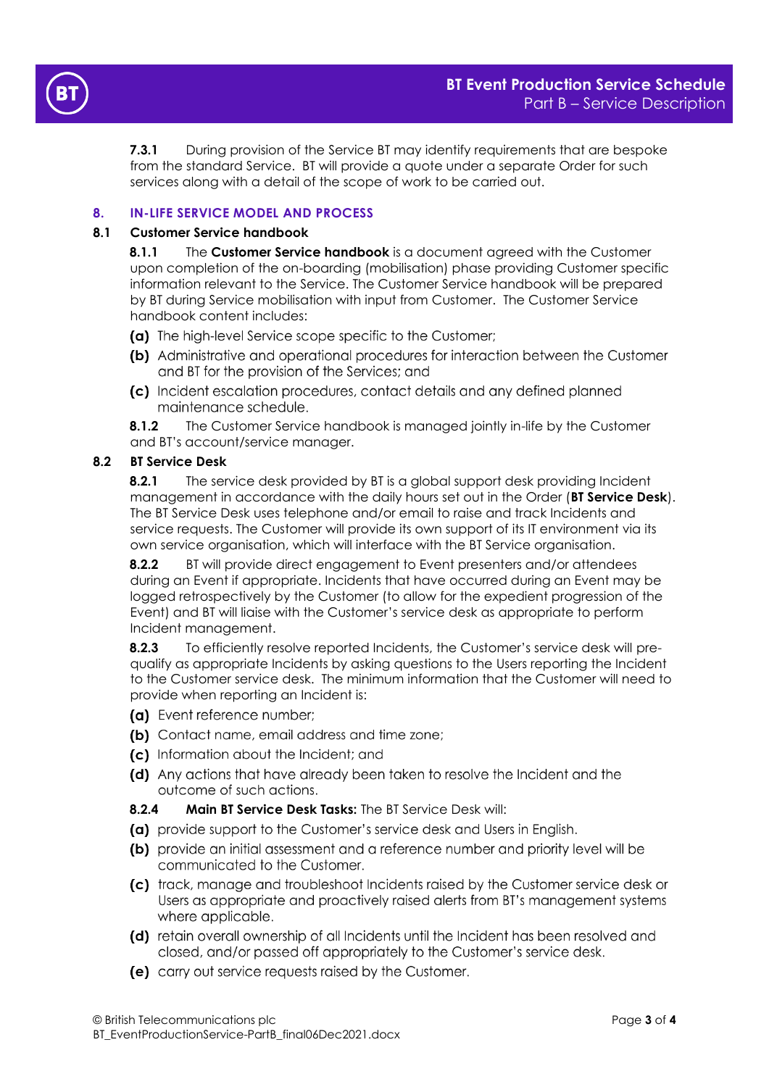

**7.3.1** During provision of the Service BT may identify requirements that are bespoke from the standard Service. BT will provide a quote under a separate Order for such services along with a detail of the scope of work to be carried out.

# **8. IN-LIFE SERVICE MODEL AND PROCESS**

# **8.1 Customer Service handbook**

**8.1.1** The **Customer Service handbook** is a document agreed with the Customer upon completion of the on-boarding (mobilisation) phase providing Customer specific information relevant to the Service. The Customer Service handbook will be prepared by BT during Service mobilisation with input from Customer. The Customer Service handbook content includes:

- (a) The high-level Service scope specific to the Customer;
- (b) Administrative and operational procedures for interaction between the Customer and BT for the provision of the Services; and
- (c) Incident escalation procedures, contact details and any defined planned maintenance schedule.

**8.1.2** The Customer Service handbook is managed jointly in-life by the Customer and BT's account/service manager.

# **8.2 BT Service Desk**

**8.2.1** The service desk provided by BT is a global support desk providing Incident management in accordance with the daily hours set out in the Order (**BT Service Desk**). The BT Service Desk uses telephone and/or email to raise and track Incidents and service requests. The Customer will provide its own support of its IT environment via its own service organisation, which will interface with the BT Service organisation.

**8.2.2** BT will provide direct engagement to Event presenters and/or attendees during an Event if appropriate. Incidents that have occurred during an Event may be logged retrospectively by the Customer (to allow for the expedient progression of the Event) and BT will liaise with the Customer's service desk as appropriate to perform Incident management.

**8.2.3** To efficiently resolve reported Incidents, the Customer's service desk will prequalify as appropriate Incidents by asking questions to the Users reporting the Incident to the Customer service desk. The minimum information that the Customer will need to provide when reporting an Incident is:

- (a) Event reference number:
- (b) Contact name, email address and time zone;
- (c) Information about the Incident; and
- (d) Any actions that have already been taken to resolve the Incident and the outcome of such actions.
- **8.2.4 Main BT Service Desk Tasks:** The BT Service Desk will:
- (a) provide support to the Customer's service desk and Users in Enalish.
- (b) provide an initial assessment and a reference number and priority level will be communicated to the Customer.
- (c) track, manage and troubleshoot Incidents raised by the Customer service desk or Users as appropriate and proactively raised alerts from BT's management systems where applicable.
- (d) retain overall ownership of all Incidents until the Incident has been resolved and closed, and/or passed off appropriately to the Customer's service desk.
- (e) carry out service requests raised by the Customer.